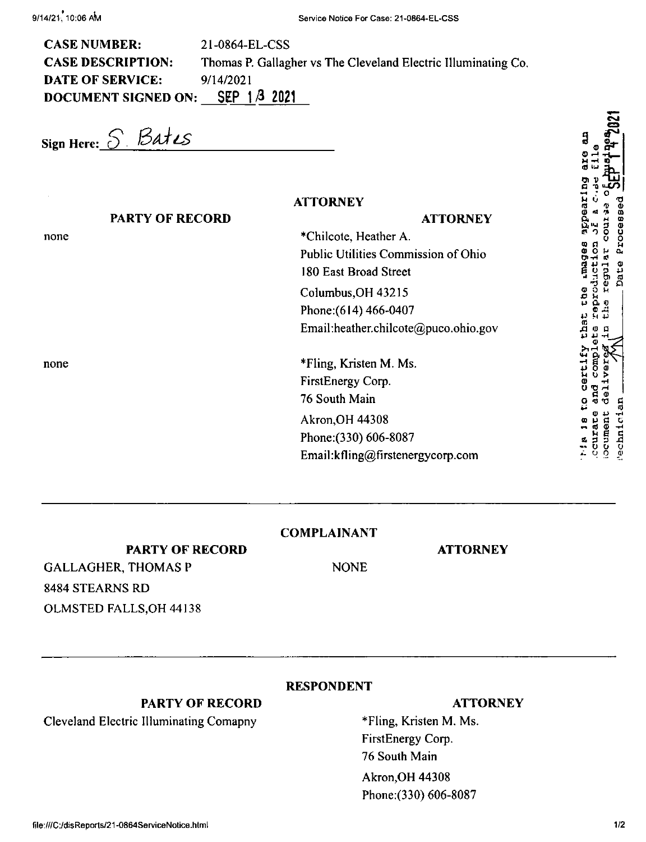| <b>CASE NUMBER:</b>        | 21-0864-EL-CSS                                                 |
|----------------------------|----------------------------------------------------------------|
| <b>CASE DESCRIPTION:</b>   | Thomas P. Gallagher vs The Cleveland Electric Illuminating Co. |
| <b>DATE OF SERVICE:</b>    | 9/14/2021                                                      |
| <b>DOCUMENT SIGNED ON:</b> | SEP 1 /3 2021                                                  |

Sign Here:  $S$   $\beta$ at  $\epsilon$ s

# **ATTORNEY**

|      | <b>PARTY OF RECORD</b> | <b>ATTORNEY</b>                            |
|------|------------------------|--------------------------------------------|
| none |                        | *Chilcote, Heather A.                      |
|      |                        | <b>Public Utilities Commission of Ohio</b> |
|      |                        | 180 East Broad Street                      |
|      |                        | Columbus, OH 43215                         |
|      |                        | Phone: (614) 466-0407                      |
|      |                        | Email:heather.chilcote@puco.ohio.gov       |
| none |                        | *Fling, Kristen M. Ms.                     |
|      |                        | FirstEnergy Corp.                          |
|      |                        | 76 South Main                              |
|      |                        | Akron, OH 44308                            |
|      |                        | Phone: (330) 606-8087                      |
|      |                        | Email:kfling@firstenergycorp.com           |

#### **COMPLAINANT**

**PARTY OF RECORD** 

**ATTORNEY** 

**GALLAGHER, THOMAS P** 8484 STEARNS RD OLMSTED FALLS, OH 44138

**NONE** 

# **RESPONDENT**

# **PARTY OF RECORD**

Cleveland Electric Illuminating Comapny

#### **ATTORNEY**

\*Fling, Kristen M. Ms. FirstEnergy Corp. 76 South Main Akron, OH 44308 Phone: (330) 606-8087